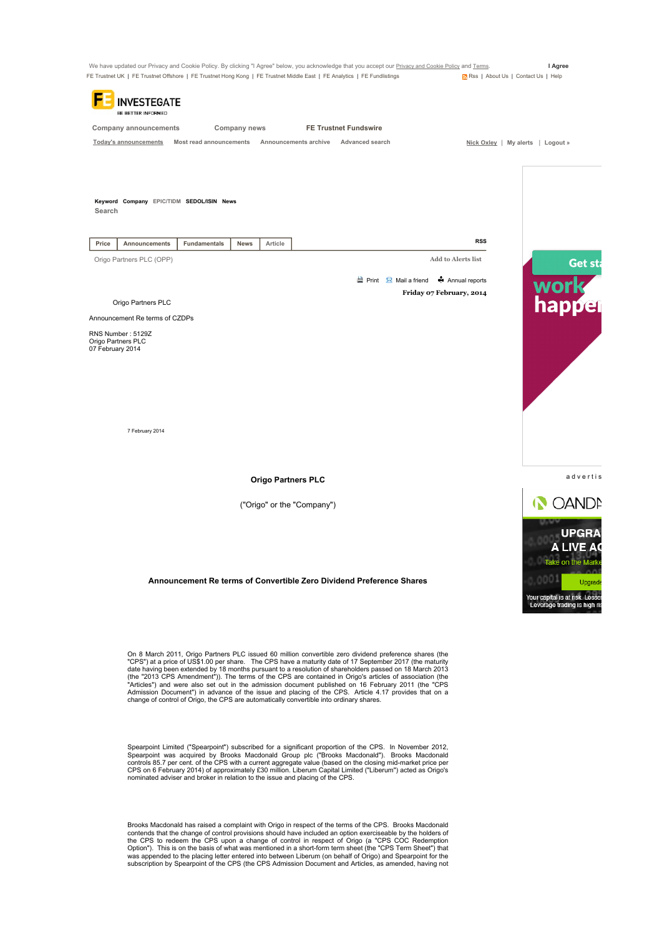

Spearpoint Limited ("Spearpoint") subscribed for a significant proportion of the CPS. In November 2012,<br>Spearpoint was acquired by Brooks Macdonald Group plc ("Brooks Macdonald"). Brooks Macdonald"<br>controls 85.7 per cent. nominated adviser and broker in relation to the issue and placing of the CPS.

Brooks Macdonald has raised a complaint with Origo in respect of the terms of the CPS. Brooks Macdonald contends that the change of control provisions should have included an option exerciseable by the holders of the CPS to redeem the CPS upon a change of control in respect of Origo (a "CPS COC Redemption<br>Option"). This is on the basis of what was mentioned in a short-form term sheet (the "CPS Term Sheet") that was appended to the placing letter entered into between Liberum (on behalf of Origo) and Spearpoint for the subscription by Spearpoint of the CPS (the CPS Admission Document and Articles, as amended, having not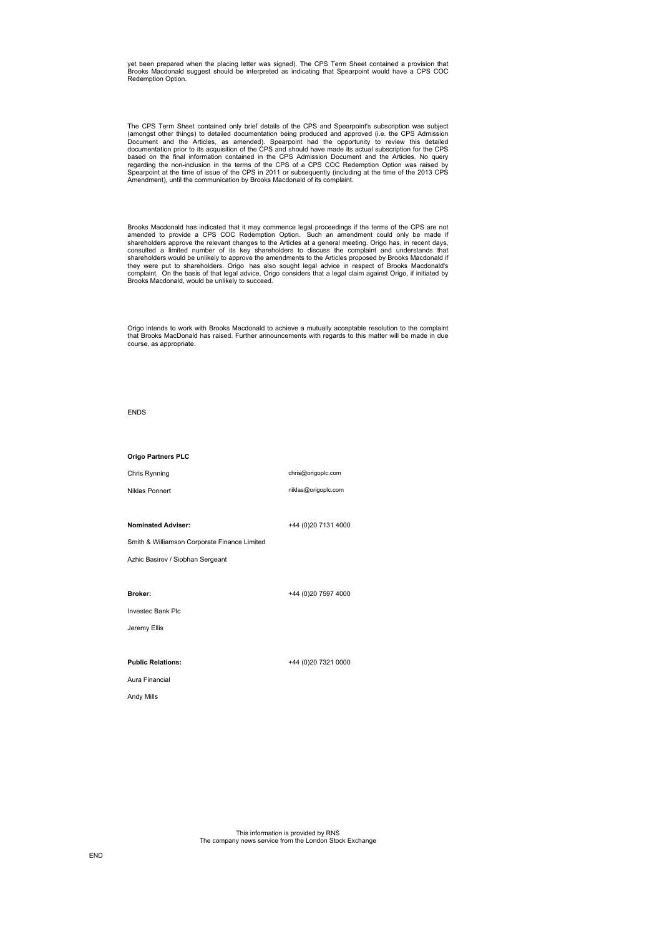yet been prepared when the placing letter was signed). The CPS Term Sheet contained a provision that Brooks Macdonald suggest should be interpreted as indicating that Spearpoint would have a CPS COC Redemption Option.

The CPS Term Sheet contained only brief details of the CPS and Spearpoint's subscription was subject (amongst other things) to detailed documentation being produced and approved (i.e. the CPS Admission Document and the Art regarding the non-inclusion in the terms of the CPS of a CPS COC Redemption Option was raised by<br>Spearpoint at the time of issue of the CPS in 2011 or subsequently (including at the time of the 2013 CPS<br>Amendment), until t

Brooks Macdonald has indicated that it may commence legal proceedings if the terms of the CPS are not amended to provide a CPS COC Redemption Option. Such an amendment could only be made if shareholders approve the relevan

Origo intends to work with Brooks Macdonald to achieve a mutually acceptable resolution to the complaint that Brooks MacDonald has raised. Further announcements with regards to this matter will be made in due course, as appropriate.

ENDS

Origo Partners PLC

Chris Rynning Niklas Ponnert chris@origoplc.com niklas@origoplc.com

Nominated Adviser:

+44 (0)20 7131 4000

Smith & Williamson Corporate Finance Limited

Azhic Basirov / Siobhan Sergeant

Broker:

+44 (0)20 7597 4000

Investec Bank Plc

Jeremy Ellis

Public Relations: Aura Financial

Andy Mills

+44 (0)20 7321 0000